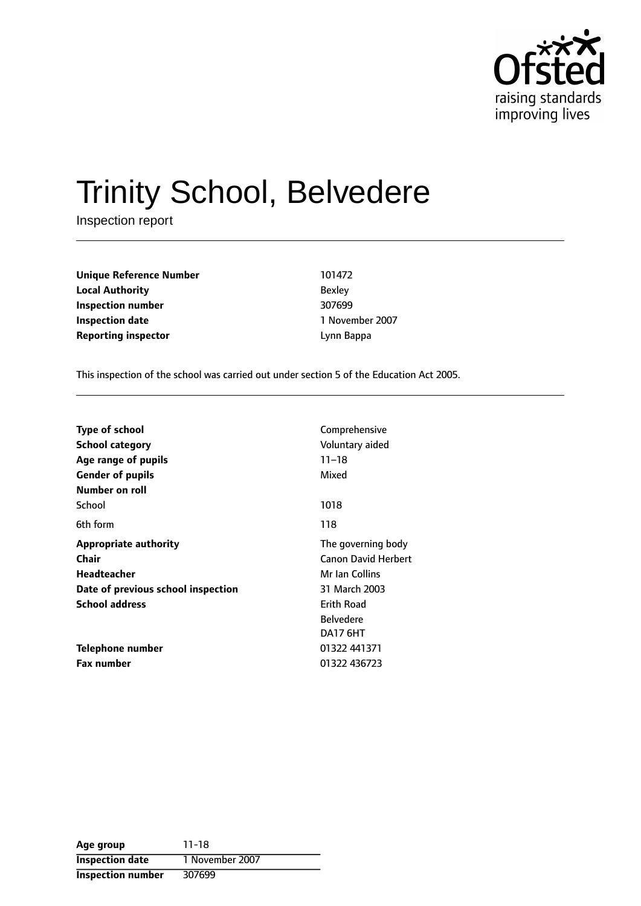

# Trinity School, Belvedere

Inspection report

**Unique Reference Number** 101472 **Local Authority** Bexley **Inspection number** 307699 **Inspection date** 1 November 2007 **Reporting inspector CONFIDENTIAL EXECUTE:** Lynn Bappa

This inspection of the school was carried out under section 5 of the Education Act 2005.

| <b>Type of school</b><br>School category<br>Age range of pupils<br><b>Gender of pupils</b><br>Number on roll | Comprehensive<br>Voluntary aided<br>$11 - 18$<br>Mixed |
|--------------------------------------------------------------------------------------------------------------|--------------------------------------------------------|
| School                                                                                                       | 1018                                                   |
| 6th form                                                                                                     | 118                                                    |
| <b>Appropriate authority</b>                                                                                 | The governing body                                     |
| Chair                                                                                                        | <b>Canon David Herbert</b>                             |
| <b>Headteacher</b>                                                                                           | Mr Ian Collins                                         |
| Date of previous school inspection                                                                           | 31 March 2003                                          |
| <b>School address</b><br><b>Erith Road</b>                                                                   |                                                        |
|                                                                                                              | <b>Belvedere</b>                                       |
|                                                                                                              | DA17 6HT                                               |
| Telephone number                                                                                             | 01322 441371                                           |
| <b>Fax number</b>                                                                                            | 01322 436723                                           |

| Age group                | 11-18           |
|--------------------------|-----------------|
| <b>Inspection date</b>   | 1 November 2007 |
| <b>Inspection number</b> | 307699          |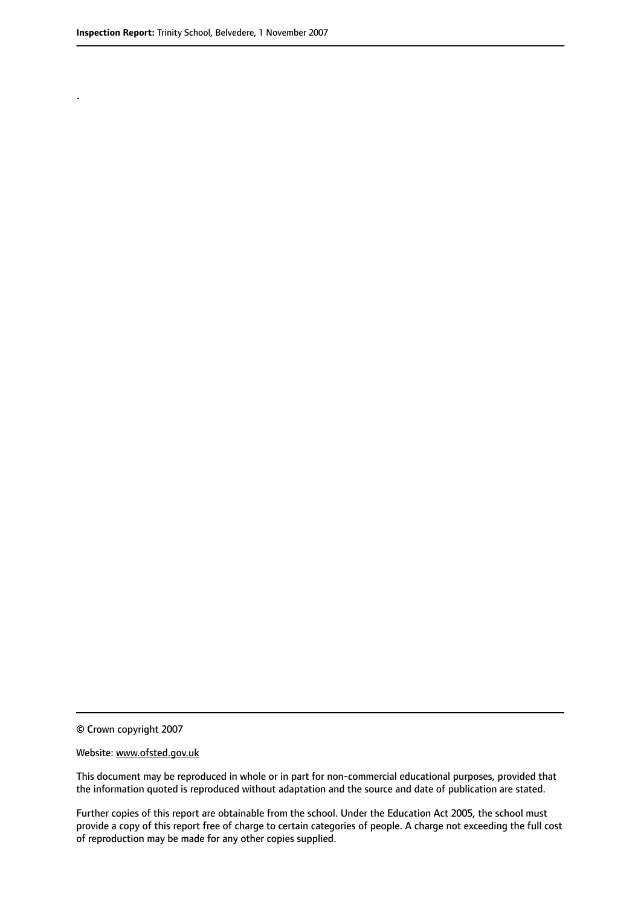.

© Crown copyright 2007

#### Website: www.ofsted.gov.uk

This document may be reproduced in whole or in part for non-commercial educational purposes, provided that the information quoted is reproduced without adaptation and the source and date of publication are stated.

Further copies of this report are obtainable from the school. Under the Education Act 2005, the school must provide a copy of this report free of charge to certain categories of people. A charge not exceeding the full cost of reproduction may be made for any other copies supplied.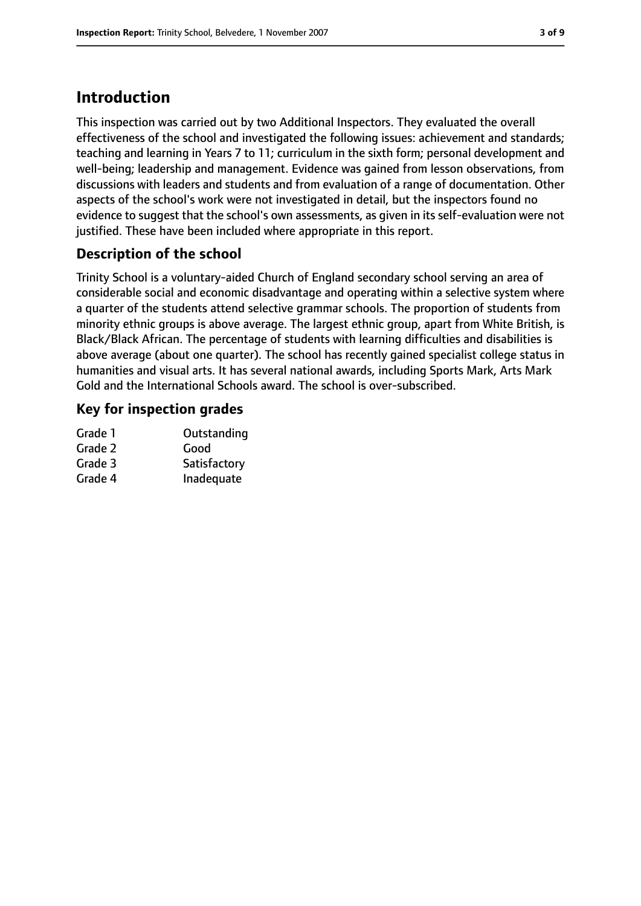# **Introduction**

This inspection was carried out by two Additional Inspectors. They evaluated the overall effectiveness of the school and investigated the following issues: achievement and standards; teaching and learning in Years 7 to 11; curriculum in the sixth form; personal development and well-being; leadership and management. Evidence was gained from lesson observations, from discussions with leaders and students and from evaluation of a range of documentation. Other aspects of the school's work were not investigated in detail, but the inspectors found no evidence to suggest that the school's own assessments, as given in its self-evaluation were not justified. These have been included where appropriate in this report.

## **Description of the school**

Trinity School is a voluntary-aided Church of England secondary school serving an area of considerable social and economic disadvantage and operating within a selective system where a quarter of the students attend selective grammar schools. The proportion of students from minority ethnic groups is above average. The largest ethnic group, apart from White British, is Black/Black African. The percentage of students with learning difficulties and disabilities is above average (about one quarter). The school has recently gained specialist college status in humanities and visual arts. It has several national awards, including Sports Mark, Arts Mark Gold and the International Schools award. The school is over-subscribed.

### **Key for inspection grades**

| Grade 1 | Outstanding  |
|---------|--------------|
| Grade 2 | Good         |
| Grade 3 | Satisfactory |
| Grade 4 | Inadequate   |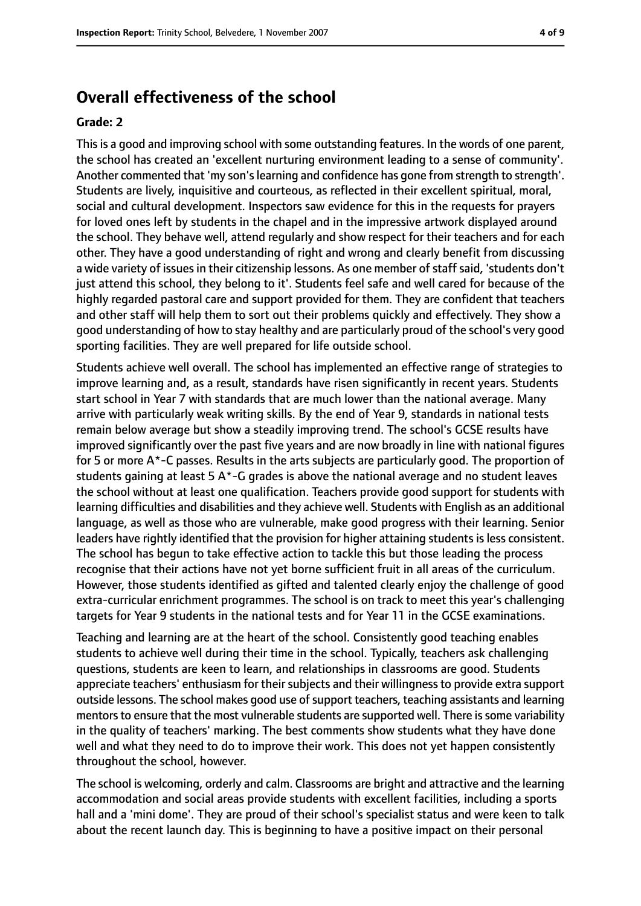### **Overall effectiveness of the school**

#### **Grade: 2**

Thisis a good and improving school with some outstanding features. In the words of one parent, the school has created an 'excellent nurturing environment leading to a sense of community'. Another commented that 'my son's learning and confidence has gone from strength to strength'. Students are lively, inquisitive and courteous, as reflected in their excellent spiritual, moral, social and cultural development. Inspectors saw evidence for this in the requests for prayers for loved ones left by students in the chapel and in the impressive artwork displayed around the school. They behave well, attend regularly and show respect for their teachers and for each other. They have a good understanding of right and wrong and clearly benefit from discussing a wide variety of issues in their citizenship lessons. As one member of staff said, 'students don't just attend this school, they belong to it'. Students feel safe and well cared for because of the highly regarded pastoral care and support provided for them. They are confident that teachers and other staff will help them to sort out their problems quickly and effectively. They show a good understanding of how to stay healthy and are particularly proud of the school's very good sporting facilities. They are well prepared for life outside school.

Students achieve well overall. The school has implemented an effective range of strategies to improve learning and, as a result, standards have risen significantly in recent years. Students start school in Year 7 with standards that are much lower than the national average. Many arrive with particularly weak writing skills. By the end of Year 9, standards in national tests remain below average but show a steadily improving trend. The school's GCSE results have improved significantly over the past five years and are now broadly in line with national figures for 5 or more A\*-C passes. Results in the arts subjects are particularly good. The proportion of students gaining at least 5 A\*-G grades is above the national average and no student leaves the school without at least one qualification. Teachers provide good support for students with learning difficulties and disabilities and they achieve well. Students with English as an additional language, as well as those who are vulnerable, make good progress with their learning. Senior leaders have rightly identified that the provision for higher attaining students is less consistent. The school has begun to take effective action to tackle this but those leading the process recognise that their actions have not yet borne sufficient fruit in all areas of the curriculum. However, those students identified as gifted and talented clearly enjoy the challenge of good extra-curricular enrichment programmes. The school is on track to meet this year's challenging targets for Year 9 students in the national tests and for Year 11 in the GCSE examinations.

Teaching and learning are at the heart of the school. Consistently good teaching enables students to achieve well during their time in the school. Typically, teachers ask challenging questions, students are keen to learn, and relationships in classrooms are good. Students appreciate teachers' enthusiasm for their subjects and their willingness to provide extra support outside lessons. The school makes good use of support teachers, teaching assistants and learning mentors to ensure that the most vulnerable students are supported well. There is some variability in the quality of teachers' marking. The best comments show students what they have done well and what they need to do to improve their work. This does not yet happen consistently throughout the school, however.

The school is welcoming, orderly and calm. Classrooms are bright and attractive and the learning accommodation and social areas provide students with excellent facilities, including a sports hall and a 'mini dome'. They are proud of their school's specialist status and were keen to talk about the recent launch day. This is beginning to have a positive impact on their personal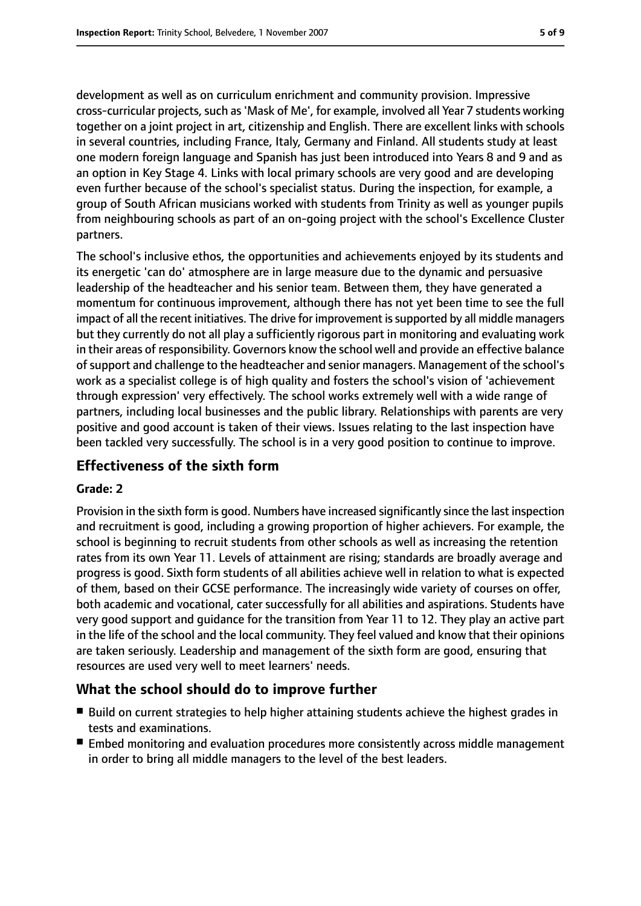development as well as on curriculum enrichment and community provision. Impressive cross-curricular projects, such as 'Mask of Me', for example, involved all Year 7 students working together on a joint project in art, citizenship and English. There are excellent links with schools in several countries, including France, Italy, Germany and Finland. All students study at least one modern foreign language and Spanish has just been introduced into Years 8 and 9 and as an option in Key Stage 4. Links with local primary schools are very good and are developing even further because of the school's specialist status. During the inspection, for example, a group of South African musicians worked with students from Trinity as well as younger pupils from neighbouring schools as part of an on-going project with the school's Excellence Cluster partners.

The school's inclusive ethos, the opportunities and achievements enjoyed by its students and its energetic 'can do' atmosphere are in large measure due to the dynamic and persuasive leadership of the headteacher and his senior team. Between them, they have generated a momentum for continuous improvement, although there has not yet been time to see the full impact of all the recent initiatives. The drive for improvement is supported by all middle managers but they currently do not all play a sufficiently rigorous part in monitoring and evaluating work in their areas of responsibility. Governors know the school well and provide an effective balance ofsupport and challenge to the headteacher and senior managers. Management of the school's work as a specialist college is of high quality and fosters the school's vision of 'achievement through expression' very effectively. The school works extremely well with a wide range of partners, including local businesses and the public library. Relationships with parents are very positive and good account is taken of their views. Issues relating to the last inspection have been tackled very successfully. The school is in a very good position to continue to improve.

### **Effectiveness of the sixth form**

### **Grade: 2**

Provision in the sixth form is good. Numbers have increased significantly since the last inspection and recruitment is good, including a growing proportion of higher achievers. For example, the school is beginning to recruit students from other schools as well as increasing the retention rates from its own Year 11. Levels of attainment are rising; standards are broadly average and progress is good. Sixth form students of all abilities achieve well in relation to what is expected of them, based on their GCSE performance. The increasingly wide variety of courses on offer, both academic and vocational, cater successfully for all abilities and aspirations. Students have very good support and guidance for the transition from Year 11 to 12. They play an active part in the life of the school and the local community. They feel valued and know that their opinions are taken seriously. Leadership and management of the sixth form are good, ensuring that resources are used very well to meet learners' needs.

### **What the school should do to improve further**

- Build on current strategies to help higher attaining students achieve the highest grades in tests and examinations.
- Embed monitoring and evaluation procedures more consistently across middle management in order to bring all middle managers to the level of the best leaders.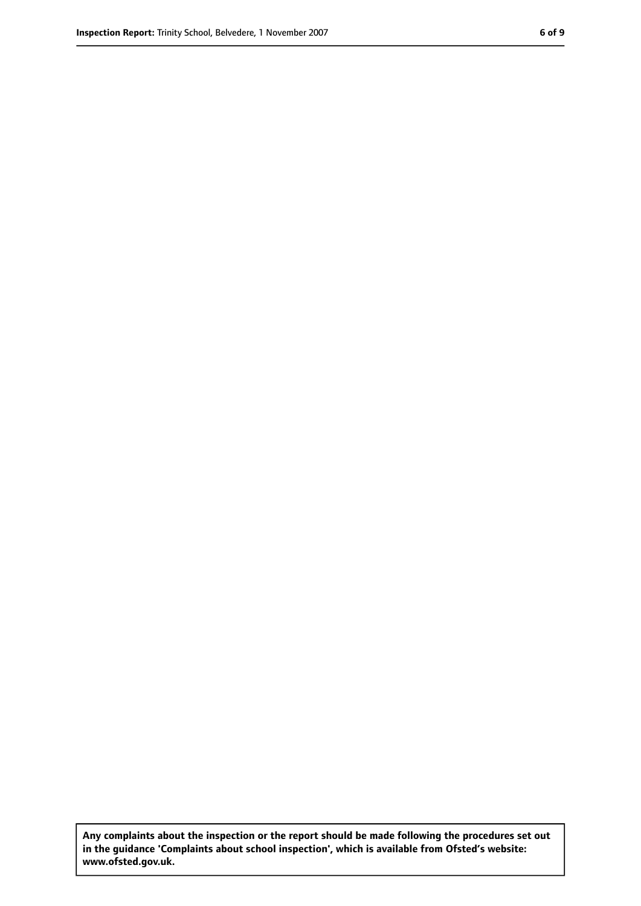**Any complaints about the inspection or the report should be made following the procedures set out in the guidance 'Complaints about school inspection', which is available from Ofsted's website: www.ofsted.gov.uk.**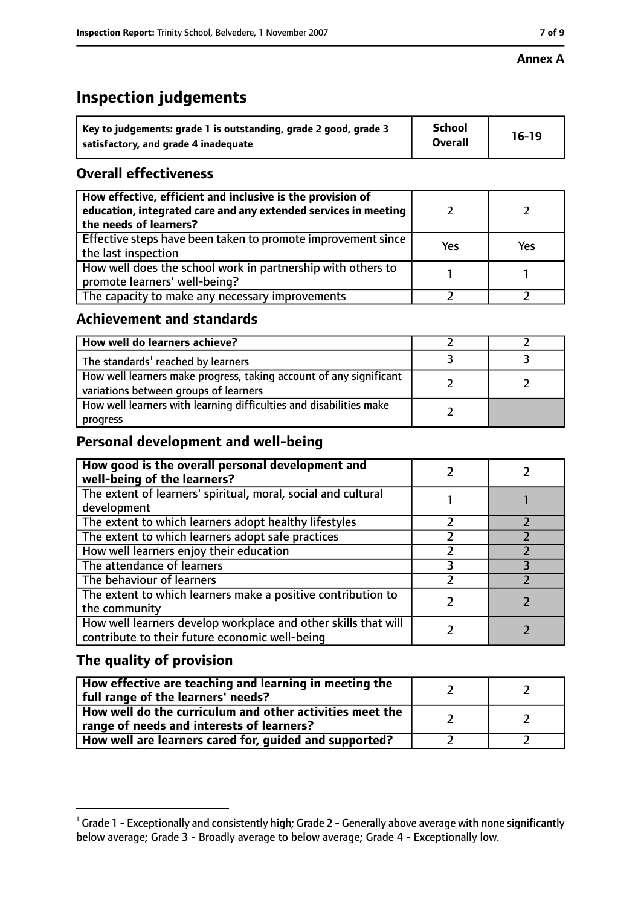### **Annex A**

# **Inspection judgements**

| Key to judgements: grade 1 is outstanding, grade 2 good, grade 3 | <b>School</b><br><b>Overall</b> | $16-19$ |
|------------------------------------------------------------------|---------------------------------|---------|
| satisfactory, and grade 4 inadequate                             |                                 |         |

### **Overall effectiveness**

| How effective, efficient and inclusive is the provision of<br>education, integrated care and any extended services in meeting<br>the needs of learners? |     |     |
|---------------------------------------------------------------------------------------------------------------------------------------------------------|-----|-----|
| Effective steps have been taken to promote improvement since<br>the last inspection                                                                     | Yes | Yes |
| How well does the school work in partnership with others to<br>promote learners' well-being?                                                            |     |     |
| The capacity to make any necessary improvements                                                                                                         |     |     |

### **Achievement and standards**

| How well do learners achieve?                                                                               |  |
|-------------------------------------------------------------------------------------------------------------|--|
| The standards <sup>1</sup> reached by learners                                                              |  |
| How well learners make progress, taking account of any significant<br>variations between groups of learners |  |
| How well learners with learning difficulties and disabilities make<br>progress                              |  |

### **Personal development and well-being**

| How good is the overall personal development and<br>well-being of the learners?                                  |  |
|------------------------------------------------------------------------------------------------------------------|--|
| The extent of learners' spiritual, moral, social and cultural<br>development                                     |  |
| The extent to which learners adopt healthy lifestyles                                                            |  |
| The extent to which learners adopt safe practices                                                                |  |
| How well learners enjoy their education                                                                          |  |
| The attendance of learners                                                                                       |  |
| The behaviour of learners                                                                                        |  |
| The extent to which learners make a positive contribution to<br>the community                                    |  |
| How well learners develop workplace and other skills that will<br>contribute to their future economic well-being |  |

# **The quality of provision**

| How effective are teaching and learning in meeting the<br>full range of the learners' needs?          |  |
|-------------------------------------------------------------------------------------------------------|--|
| How well do the curriculum and other activities meet the<br>range of needs and interests of learners? |  |
| How well are learners cared for, guided and supported?                                                |  |

 $^1$  Grade 1 - Exceptionally and consistently high; Grade 2 - Generally above average with none significantly below average; Grade 3 - Broadly average to below average; Grade 4 - Exceptionally low.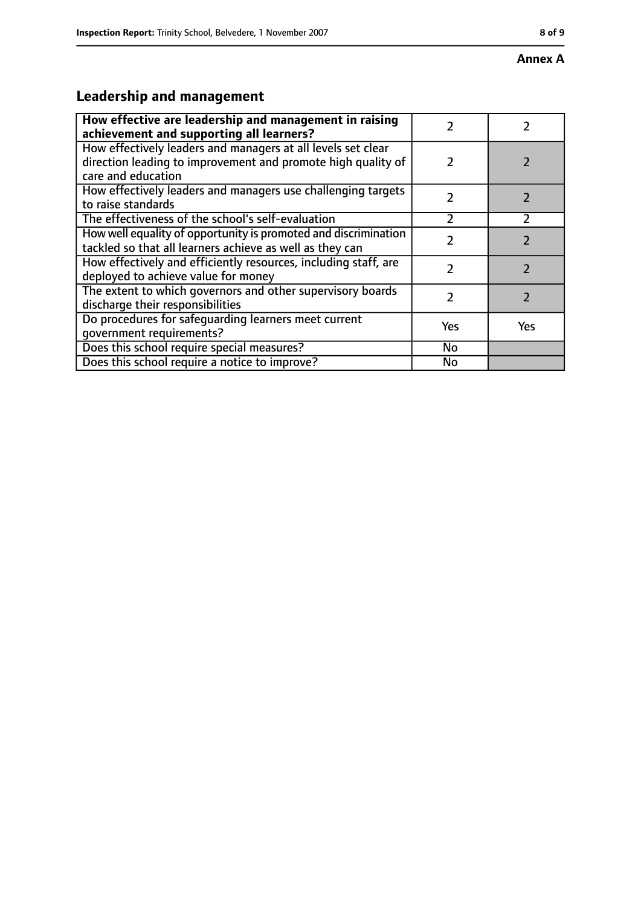### **Annex A**

# **Leadership and management**

| How effective are leadership and management in raising<br>achievement and supporting all learners?                                                 | 7             |                          |
|----------------------------------------------------------------------------------------------------------------------------------------------------|---------------|--------------------------|
| How effectively leaders and managers at all levels set clear<br>direction leading to improvement and promote high quality of<br>care and education | $\mathcal{P}$ |                          |
| How effectively leaders and managers use challenging targets<br>to raise standards                                                                 | $\mathcal{P}$ | $\overline{\phantom{a}}$ |
| The effectiveness of the school's self-evaluation                                                                                                  | $\mathcal{P}$ | $\mathcal{P}$            |
| How well equality of opportunity is promoted and discrimination<br>tackled so that all learners achieve as well as they can                        |               |                          |
| How effectively and efficiently resources, including staff, are<br>deployed to achieve value for money                                             | 7             |                          |
| The extent to which governors and other supervisory boards<br>discharge their responsibilities                                                     | 7             | $\mathcal{P}$            |
| Do procedures for safeguarding learners meet current<br>qovernment requirements?                                                                   | Yes           | <b>Yes</b>               |
| Does this school require special measures?                                                                                                         | No            |                          |
| Does this school require a notice to improve?                                                                                                      | <b>No</b>     |                          |